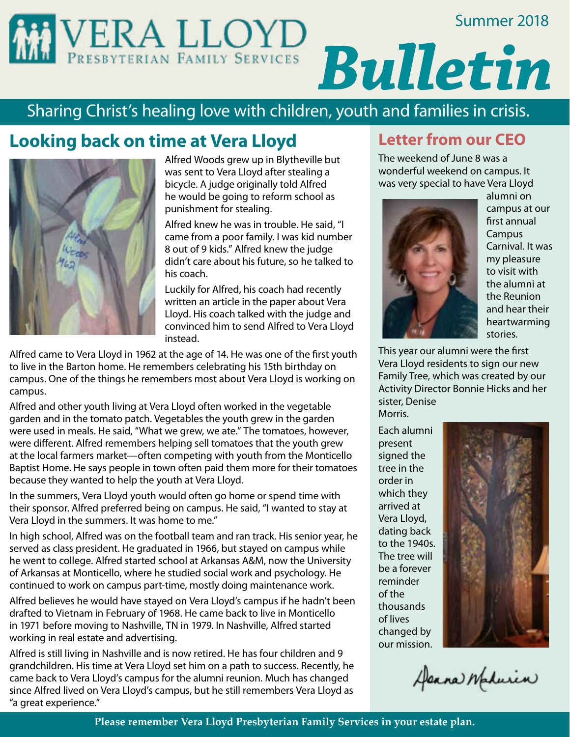### Summer 2018



# Sharing Christ's healing love with children, youth and families in crisis.

# **Looking back on time at Vera Lloyd**



Alfred Woods grew up in Blytheville but was sent to Vera Lloyd after stealing a bicycle. A judge originally told Alfred he would be going to reform school as punishment for stealing.

Alfred knew he was in trouble. He said, "I came from a poor family. I was kid number 8 out of 9 kids." Alfred knew the judge didn't care about his future, so he talked to his coach.

Luckily for Alfred, his coach had recently written an article in the paper about Vera Lloyd. His coach talked with the judge and convinced him to send Alfred to Vera Lloyd instead.

Alfred came to Vera Lloyd in 1962 at the age of 14. He was one of the first youth to live in the Barton home. He remembers celebrating his 15th birthday on campus. One of the things he remembers most about Vera Lloyd is working on campus.

Alfred and other youth living at Vera Lloyd often worked in the vegetable garden and in the tomato patch. Vegetables the youth grew in the garden were used in meals. He said, "What we grew, we ate." The tomatoes, however, were different. Alfred remembers helping sell tomatoes that the youth grew at the local farmers market—often competing with youth from the Monticello Baptist Home. He says people in town often paid them more for their tomatoes because they wanted to help the youth at Vera Lloyd.

In the summers, Vera Lloyd youth would often go home or spend time with their sponsor. Alfred preferred being on campus. He said, "I wanted to stay at Vera Lloyd in the summers. It was home to me."

In high school, Alfred was on the football team and ran track. His senior year, he served as class president. He graduated in 1966, but stayed on campus while he went to college. Alfred started school at Arkansas A&M, now the University of Arkansas at Monticello, where he studied social work and psychology. He continued to work on campus part-time, mostly doing maintenance work.

Alfred believes he would have stayed on Vera Lloyd's campus if he hadn't been drafted to Vietnam in February of 1968. He came back to live in Monticello in 1971 before moving to Nashville, TN in 1979. In Nashville, Alfred started working in real estate and advertising.

Alfred is still living in Nashville and is now retired. He has four children and 9 grandchildren. His time at Vera Lloyd set him on a path to success. Recently, he came back to Vera Lloyd's campus for the alumni reunion. Much has changed since Alfred lived on Vera Lloyd's campus, but he still remembers Vera Lloyd as "a great experience."

## **Letter from our CEO**

The weekend of June 8 was a wonderful weekend on campus. It was very special to have Vera Lloyd



alumni on campus at our first annual Campus Carnival. It was my pleasure to visit with the alumni at the Reunion and hear their heartwarming stories.

This year our alumni were the first Vera Lloyd residents to sign our new Family Tree, which was created by our Activity Director Bonnie Hicks and her sister, Denise Morris.

Each alumni present signed the tree in the order in which they arrived at Vera Lloyd, dating back to the 1940s. The tree will be a forever reminder of the thousands of lives changed by our mission.



Alexna Madurin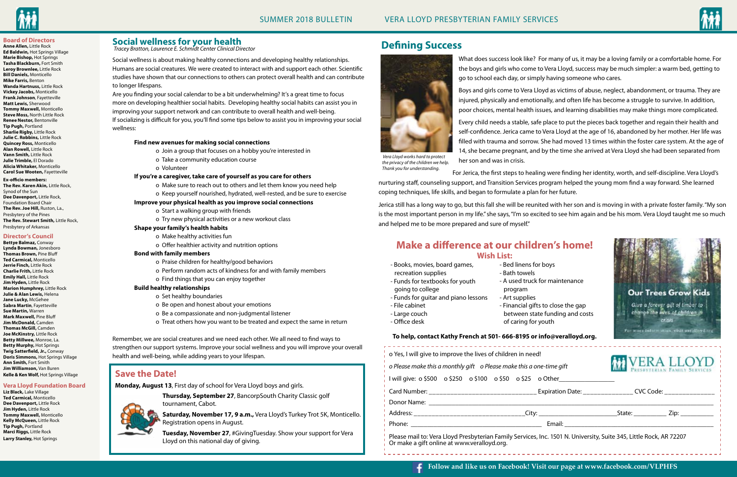### **Social wellness for your health**

Social wellness is about making healthy connections and developing healthy relationships. Humans are social creatures. We were created to interact with and support each other. Scientific studies have shown that our connections to others can protect overall health and can contribute to longer lifespans.

Are you finding your social calendar to be a bit underwhelming? It's a great time to focus more on developing healthier social habits. Developing healthy social habits can assist you in improving your support network and can contribute to overall health and well-being. If socializing is difficult for you, you'll find some tips below to assist you in improving your social wellness:

#### **Find new avenues for making social connections**

- o Join a group that focuses on a hobby you're interested in
- o Take a community education course
- o Volunteer

#### **If you're a caregiver, take care of yourself as you care for others**

- o Make sure to reach out to others and let them know you need help
- o Keep yourself nourished, hydrated, well-rested, and be sure to exercise

| $\frac{1}{2}$ o Yes, I will give to improve the lives of children in need!<br>$\overline{1}$ o Please make this a monthly gift o Please make this a one-time gift                |  |                                                                                                                                                                                                                                | <b>VERA LLOYD</b> |
|----------------------------------------------------------------------------------------------------------------------------------------------------------------------------------|--|--------------------------------------------------------------------------------------------------------------------------------------------------------------------------------------------------------------------------------|-------------------|
| I will give: $\circ$ \$500 $\circ$ \$250 $\circ$ \$100 $\circ$ \$50 $\circ$ \$25 $\circ$ Other                                                                                   |  |                                                                                                                                                                                                                                |                   |
|                                                                                                                                                                                  |  |                                                                                                                                                                                                                                |                   |
|                                                                                                                                                                                  |  |                                                                                                                                                                                                                                |                   |
|                                                                                                                                                                                  |  |                                                                                                                                                                                                                                |                   |
|                                                                                                                                                                                  |  | Email: Email: All and the state of the state of the state of the state of the state of the state of the state of the state of the state of the state of the state of the state of the state of the state of the state of the s |                   |
| Please mail to: Vera Lloyd Presbyterian Family Services, Inc. 1501 N. University, Suite 345, Little Rock, AR 72207<br>$\overline{1}$ Or make a gift online at www.veralloyd.org. |  |                                                                                                                                                                                                                                |                   |

#### **Improve your physical health as you improve social connections**

- o Start a walking group with friends
- o Try new physical activities or a new workout class

#### **Shape your family's health habits**

- o Make healthy activities fun
	- o Offer healthier activity and nutrition options

#### **Bond with family members**

- o Praise children for healthy/good behaviors
- o Perform random acts of kindness for and with family members
- o Find things that you can enjoy together

#### **Build healthy relationships**

- o Set healthy boundaries
- o Be open and honest about your emotions
- o Be a compassionate and non-judgmental listener
- o Treat others how you want to be treated and expect the same in return

Remember, we are social creatures and we need each other. We all need to find ways to strengthen our support systems. Improve your social wellness and you will improve your overall health and well-being, while adding years to your lifespan.







- Books, movies, board games, recreation supplies
- Funds for textbooks for youth
- going to college
- Funds for guitar and piano lessons
- File cabinet
- Large couch
- Office desk

- Bed linens for boys

- Bath towels

- A used truck for maintenance

program

- Art supplies

 - Financial gifts to close the gap between state funding and costs





of caring for youth

# **Make a difference at our children's home! Wish List:**

### **To help, contact Kathy French at 501- 666-8195 or info@veralloyd.org.**

# **Defining Success**



What does success look like? For many of us, it may be a loving family or a comfortable home. For the boys and girls who come to Vera Lloyd, success may be much simpler: a warm bed, getting to go to school each day, or simply having someone who cares.

Boys and girls come to Vera Lloyd as victims of abuse, neglect, abandonment, or trauma. They are injured, physically and emotionally, and often life has become a struggle to survive. In addition, poor choices, mental health issues, and learning disabilities may make things more complicated.

Every child needs a stable, safe place to put the pieces back together and regain their health and self-confidence. Jerica came to Vera Lloyd at the age of 16, abandoned by her mother. Her life was filled with trauma and sorrow. She had moved 13 times within the foster care system. At the age of 14, she became pregnant, and by the time she arrived at Vera Lloyd she had been separated from her son and was in crisis.

For Jerica, the first steps to healing were finding her identity, worth, and self-discipline. Vera Lloyd's

nurturing staff, counseling support, and Transition Services program helped the young mom find a way forward. She learned coping techniques, life skills, and began to formulate a plan for her future.

Jerica still has a long way to go, but this fall she will be reunited with her son and is moving in with a private foster family. "My son is the most important person in my life." she says, "I'm so excited to see him again and be his mom. Vera Lloyd taught me so much and helped me to be more prepared and sure of myself."

### **Save the Date!**

**Monday, August 13**, First day of school for Vera Lloyd boys and girls.

**Thursday, September 27**, BancorpSouth Charity Classic golf tournament, Cabot.

**Saturday, November 17, 9 a.m.,** Vera Lloyd's Turkey Trot 5K, Monticello. Registration opens in August.

**Tuesday, November 27**, #GivingTuesday. Show your support for Vera Lloyd on this national day of giving.

#### **Board of Directors**

**Anne Allen,** Little Rock **Ed Baldwin,** Hot Springs Village **Marie Bishop,** Hot Springs **Tasha Blackburn,** Fort Smith **Leroy Brownlee,** Little Rock **Bill Daniels,** Monticello **Mike Farris,** Benton **Wanda Hartnuss,** Little Rock **Vickey Jacobs,** Monticello **Frank Johnson**, Fayetteville **Matt Lewis,** Sherwood **Tommy Maxwell,** Monticello **Steve Moss,** North Little Rock **Renee Nestor,** Bentonville **Tip Pugh,** Portland **Sharlie Rigby,** Little Rock **Julie C. Robbins,** Little Rock **Quincey Ross,** Monticello **Alan Rowell,** Little Rock **Vann Smith,** Little Rock **Julie Trimble,** El Dorado **Alicia Whitaker,** Monticello **Carol Sue Wooten,** Fayetteville

**Ex-officio members:**

**The Rev. Karen Akin,** Little Rock, Synod of the Sun **Dee Davenport,** Little Rock, Foundation Board Chair **The Rev. Joe Hill,** Ruston, La., Presbytery of the Pines **The Rev. Stewart Smith,** Little Rock, Presbytery of Arkansas

#### **Director's Council**

**Bettye Balmaz,** Conway **Lynda Bowman,** Jonesboro **Thomas Brown,** Pine Bluff **Ted Carmical,** Monticello **Jerrie Finch,** Little Rock **Charlie Frith,** Little Rock **Emily Hall,** Little Rock **Jim Hyden,** Little Rock **Marion Humphrey,** Little Rock **Julie & Alan Lewis,** Helena **Jane Lucky,** McGehee **Sabra Martin**, Fayetteville **Sue Martin,** Warren **Mark Maxwell,** Pine Bluff **Jim McDonald,** Camden **Thomas McGill,** Camden **Joe McKinstry,** Little Rock **Betty Millwee,** Monroe, La. **Betty Murphy,** Hot Springs **Twig Satterfield, Jr.,** Conway **Doris Simmons,** Hot Springs Village **Ann Smith,** Fort Smith **Jim Williamson,** Van Buren **Kelle & Ken Wolf,** Hot Springs Village

#### **Vera Lloyd Foundation Board**

**Liz Black,** Lake Village **Ted Carmical,** Monticello **Dee Davenport,** Little Rock **Jim Hyden,** Little Rock **Tommy Maxwell,** Monticello **Kelly McQueen,** Little Rock **Tip Pugh,** Portland **Marci Riggs,** Little Rock **Larry Stanley,** Hot Springs

*Tracey Bratton, Laurence E. Schmidt Center Clinical Director*

*Vera Lloyd works hard to protect the privacy of the children we help. Thank you for understanding.*